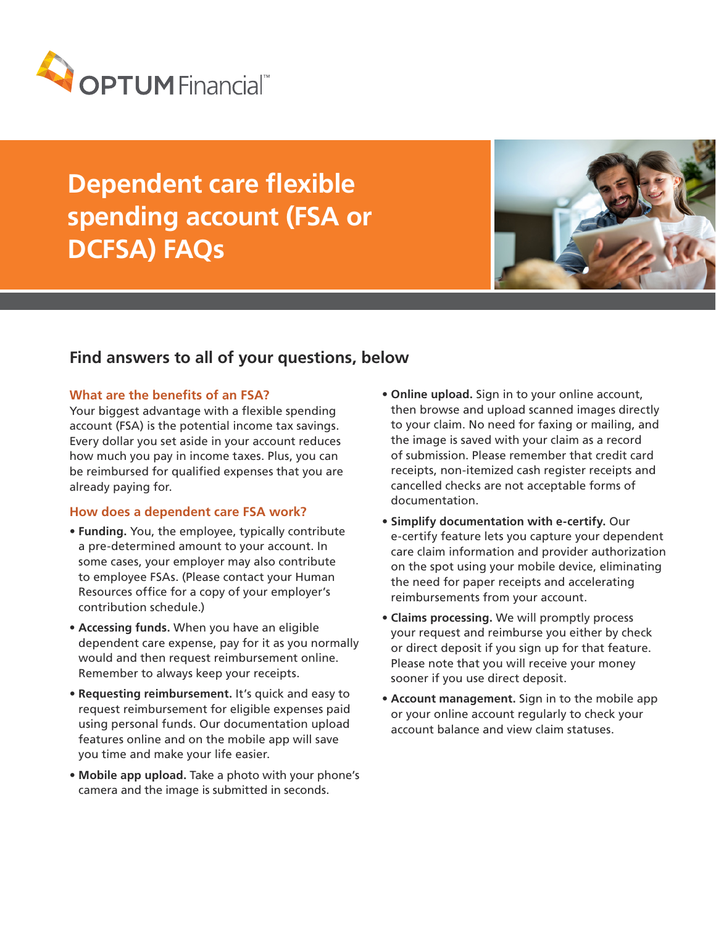

# **Dependent care flexible spending account (FSA or DCFSA) FAQs**



# **Find answers to all of your questions, below**

#### **What are the benefits of an FSA?**

Your biggest advantage with a flexible spending account (FSA) is the potential income tax savings. Every dollar you set aside in your account reduces how much you pay in income taxes. Plus, you can be reimbursed for qualified expenses that you are already paying for.

#### **How does a dependent care FSA work?**

- **Funding.** You, the employee, typically contribute a pre-determined amount to your account. In some cases, your employer may also contribute to employee FSAs. (Please contact your Human Resources office for a copy of your employer's contribution schedule.)
- **Accessing funds.** When you have an eligible dependent care expense, pay for it as you normally would and then request reimbursement online. Remember to always keep your receipts.
- **Requesting reimbursement.** It's quick and easy to request reimbursement for eligible expenses paid using personal funds. Our documentation upload features online and on the mobile app will save you time and make your life easier.
- **Mobile app upload.** Take a photo with your phone's camera and the image is submitted in seconds.
- **Online upload.** Sign in to your online account, then browse and upload scanned images directly to your claim. No need for faxing or mailing, and the image is saved with your claim as a record of submission. Please remember that credit card receipts, non-itemized cash register receipts and cancelled checks are not acceptable forms of documentation.
- **Simplify documentation with e-certify.** Our e-certify feature lets you capture your dependent care claim information and provider authorization on the spot using your mobile device, eliminating the need for paper receipts and accelerating reimbursements from your account.
- **Claims processing.** We will promptly process your request and reimburse you either by check or direct deposit if you sign up for that feature. Please note that you will receive your money sooner if you use direct deposit.
- **Account management.** Sign in to the mobile app or your online account regularly to check your account balance and view claim statuses.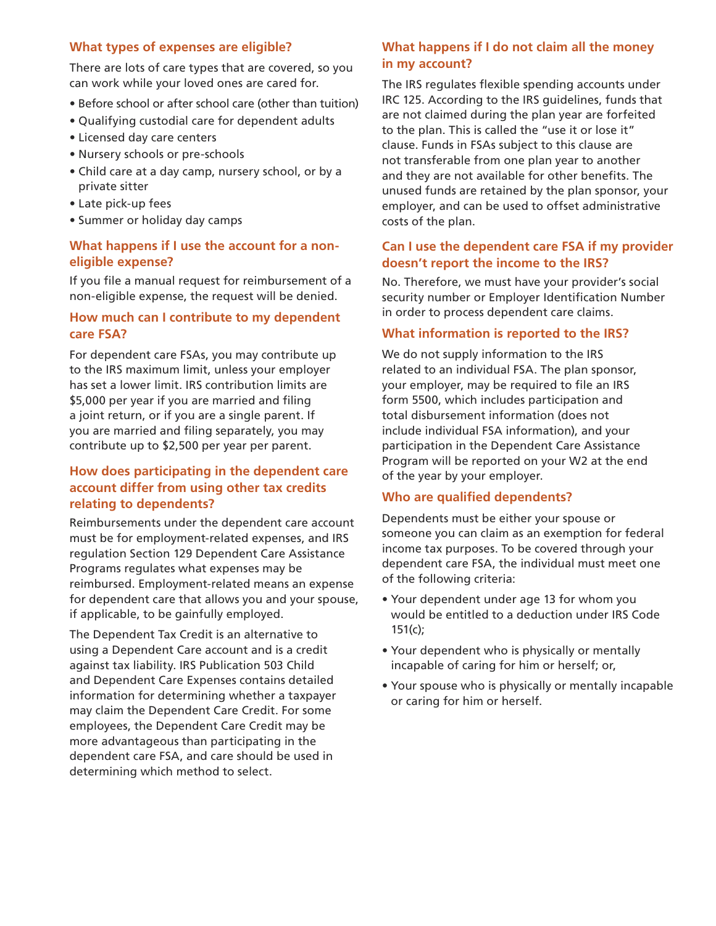#### **What types of expenses are eligible?**

There are lots of care types that are covered, so you can work while your loved ones are cared for.

- Before school or after school care (other than tuition)
- Qualifying custodial care for dependent adults
- Licensed day care centers
- Nursery schools or pre-schools
- Child care at a day camp, nursery school, or by a private sitter
- Late pick-up fees
- Summer or holiday day camps

# **What happens if I use the account for a noneligible expense?**

If you file a manual request for reimbursement of a non-eligible expense, the request will be denied.

## **How much can I contribute to my dependent care FSA?**

For dependent care FSAs, you may contribute up to the IRS maximum limit, unless your employer has set a lower limit. IRS contribution limits are \$5,000 per year if you are married and filing a joint return, or if you are a single parent. If you are married and filing separately, you may contribute up to \$2,500 per year per parent.

#### **How does participating in the dependent care account differ from using other tax credits relating to dependents?**

Reimbursements under the dependent care account must be for employment-related expenses, and IRS regulation Section 129 Dependent Care Assistance Programs regulates what expenses may be reimbursed. Employment-related means an expense for dependent care that allows you and your spouse, if applicable, to be gainfully employed.

The Dependent Tax Credit is an alternative to using a Dependent Care account and is a credit against tax liability. IRS Publication 503 Child and Dependent Care Expenses contains detailed information for determining whether a taxpayer may claim the Dependent Care Credit. For some employees, the Dependent Care Credit may be more advantageous than participating in the dependent care FSA, and care should be used in determining which method to select.

# **What happens if I do not claim all the money in my account?**

The IRS regulates flexible spending accounts under IRC 125. According to the IRS guidelines, funds that are not claimed during the plan year are forfeited to the plan. This is called the "use it or lose it" clause. Funds in FSAs subject to this clause are not transferable from one plan year to another and they are not available for other benefits. The unused funds are retained by the plan sponsor, your employer, and can be used to offset administrative costs of the plan.

# **Can I use the dependent care FSA if my provider doesn't report the income to the IRS?**

No. Therefore, we must have your provider's social security number or Employer Identification Number in order to process dependent care claims.

#### **What information is reported to the IRS?**

We do not supply information to the IRS related to an individual FSA. The plan sponsor, your employer, may be required to file an IRS form 5500, which includes participation and total disbursement information (does not include individual FSA information), and your participation in the Dependent Care Assistance Program will be reported on your W2 at the end of the year by your employer.

#### **Who are qualified dependents?**

Dependents must be either your spouse or someone you can claim as an exemption for federal income tax purposes. To be covered through your dependent care FSA, the individual must meet one of the following criteria:

- Your dependent under age 13 for whom you would be entitled to a deduction under IRS Code 151(c);
- Your dependent who is physically or mentally incapable of caring for him or herself; or,
- Your spouse who is physically or mentally incapable or caring for him or herself.